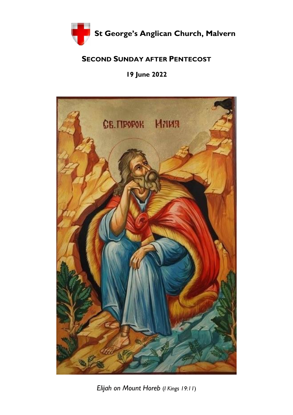

## **SECOND SUNDAY AFTER PENTECOST**

**19 June 2022** 



*Elijah on Mount Horeb* (*I Kings 19:11*)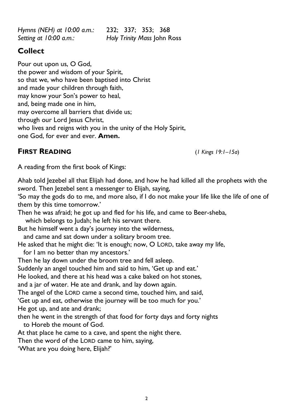*Hymns (NEH) at 10:00 a.m.:* 232; 337; 353; 368 *Setting at 10:00 a.m.: Holy Trinity Mass* John Ross

# **Collect**

Pour out upon us, O God, the power and wisdom of your Spirit, so that we, who have been baptised into Christ and made your children through faith, may know your Son's power to heal, and, being made one in him, may overcome all barriers that divide us; through our Lord Jesus Christ, who lives and reigns with you in the unity of the Holy Spirit, one God, for ever and ever. **Amen.** 

# **FIRST READING** (*1 Kings 19:1–15a*)

A reading from the first book of Kings:

Ahab told Jezebel all that Elijah had done, and how he had killed all the prophets with the sword. Then Jezebel sent a messenger to Elijah, saying,

'So may the gods do to me, and more also, if I do not make your life like the life of one of them by this time tomorrow.'

Then he was afraid; he got up and fled for his life, and came to Beer-sheba,

which belongs to Judah; he left his servant there.

But he himself went a day's journey into the wilderness,

and came and sat down under a solitary broom tree.

- He asked that he might die: 'It is enough; now, O LORD, take away my life,
- for I am no better than my ancestors.'
- Then he lay down under the broom tree and fell asleep.

Suddenly an angel touched him and said to him, 'Get up and eat.'

He looked, and there at his head was a cake baked on hot stones,

and a jar of water. He ate and drank, and lay down again.

The angel of the LORD came a second time, touched him, and said,

'Get up and eat, otherwise the journey will be too much for you.'

He got up, and ate and drank;

- then he went in the strength of that food for forty days and forty nights to Horeb the mount of God.
- At that place he came to a cave, and spent the night there.

Then the word of the LORD came to him, saying,

'What are you doing here, Elijah?'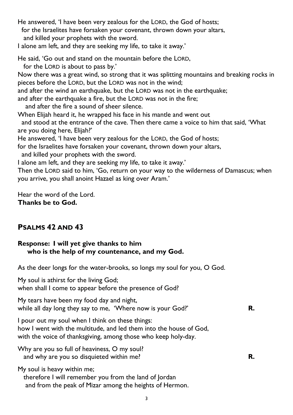He answered, 'I have been very zealous for the LORD, the God of hosts; for the Israelites have forsaken your covenant, thrown down your altars, and killed your prophets with the sword. I alone am left, and they are seeking my life, to take it away.' He said, 'Go out and stand on the mountain before the LORD, for the LORD is about to pass by.'

Now there was a great wind, so strong that it was splitting mountains and breaking rocks in pieces before the LORD, but the LORD was not in the wind;

and after the wind an earthquake, but the LORD was not in the earthquake;

and after the earthquake a fire, but the LORD was not in the fire;

and after the fire a sound of sheer silence.

When Elijah heard it, he wrapped his face in his mantle and went out

 and stood at the entrance of the cave. Then there came a voice to him that said, 'What are you doing here, Elijah?'

He answered, 'I have been very zealous for the LORD, the God of hosts;

for the Israelites have forsaken your covenant, thrown down your altars,

and killed your prophets with the sword.

I alone am left, and they are seeking my life, to take it away.'

Then the LORD said to him, 'Go, return on your way to the wilderness of Damascus; when you arrive, you shall anoint Hazael as king over Aram.'

Hear the word of the Lord. **Thanks be to God.** 

# **PSALMS 42 AND 43**

### **Response: I will yet give thanks to him who is the help of my countenance, and my God.**

As the deer longs for the water-brooks, so longs my soul for you, O God.

My soul is athirst for the living God; when shall I come to appear before the presence of God?

My tears have been my food day and night, while all day long they say to me, 'Where now is your God?' **R.**

I pour out my soul when I think on these things: how I went with the multitude, and led them into the house of God, with the voice of thanksgiving, among those who keep holy-day.

Why are you so full of heaviness, O my soul? and why are you so disquieted within me? **R.**

My soul is heavy within me;

 therefore I will remember you from the land of Jordan and from the peak of Mizar among the heights of Hermon.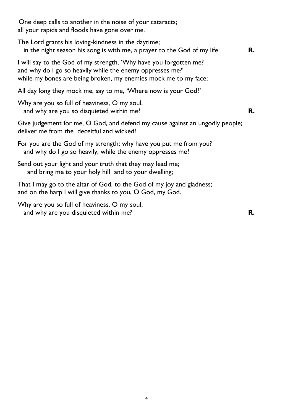One deep calls to another in the noise of your cataracts; all your rapids and floods have gone over me.

The Lord grants his loving-kindness in the daytime; in the night season his song is with me, a prayer to the God of my life. **R.**

I will say to the God of my strength, 'Why have you forgotten me? and why do I go so heavily while the enemy oppresses me?' while my bones are being broken, my enemies mock me to my face;

All day long they mock me, say to me, 'Where now is your God?'

Why are you so full of heaviness, O my soul, and why are you so disquieted within me? **R.**

Give judgement for me, O God, and defend my cause against an ungodly people; deliver me from the deceitful and wicked!

For you are the God of my strength; why have you put me from you? and why do I go so heavily, while the enemy oppresses me?

Send out your light and your truth that they may lead me; and bring me to your holy hill and to your dwelling;

That I may go to the altar of God, to the God of my joy and gladness; and on the harp I will give thanks to you, O God, my God.

Why are you so full of heaviness, O my soul, and why are you disquieted within me? **R.**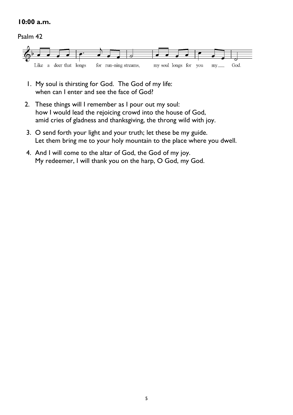#### **10:00 a.m.**

#### Psalm 42



- 1. My soul is thirsting for God. The God of my life: when can I enter and see the face of God?
- 2. These things will I remember as I pour out my soul: how I would lead the rejoicing crowd into the house of God, amid cries of gladness and thanksgiving, the throng wild with joy.
- 3. O send forth your light and your truth; let these be my guide. Let them bring me to your holy mountain to the place where you dwell.
- 4. And I will come to the altar of God, the God of my joy. My redeemer, I will thank you on the harp, O God, my God.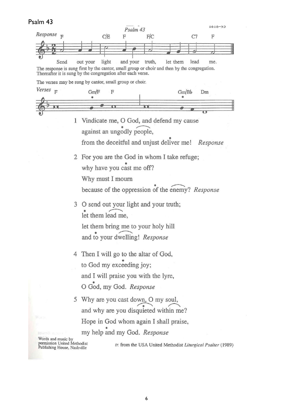# Psalm 43

|                                                            | Psalm 43                                                                                                                                | 1010-22                                                     |  |
|------------------------------------------------------------|-----------------------------------------------------------------------------------------------------------------------------------------|-------------------------------------------------------------|--|
| Response                                                   | C/E<br>F/C<br>F                                                                                                                         | C7<br>F                                                     |  |
|                                                            |                                                                                                                                         |                                                             |  |
|                                                            |                                                                                                                                         |                                                             |  |
| Send                                                       | light<br>and your<br>truth,<br>out your<br>The response is sung first by the cantor, small group or choir and then by the congregation. | let them<br>lead<br>me.                                     |  |
|                                                            | Thereafter it is sung by the congregation after each verse.                                                                             |                                                             |  |
|                                                            | The verses may be sung by cantor, small group or choir.                                                                                 |                                                             |  |
| Verses <sub>F</sub>                                        | Gm/F<br>F                                                                                                                               | Gm/Bb<br>Dm                                                 |  |
|                                                            |                                                                                                                                         |                                                             |  |
|                                                            | о                                                                                                                                       |                                                             |  |
|                                                            | 1<br>Vindicate me, O God, and defend my cause<br>against an ungodly people,                                                             |                                                             |  |
|                                                            |                                                                                                                                         |                                                             |  |
|                                                            | from the deceitful and unjust deliver me! Response                                                                                      |                                                             |  |
|                                                            |                                                                                                                                         |                                                             |  |
|                                                            | 2 For you are the God in whom I take refuge;                                                                                            |                                                             |  |
|                                                            | why have you cast me off?                                                                                                               |                                                             |  |
|                                                            | Why must I mourn                                                                                                                        |                                                             |  |
|                                                            | because of the oppression of the enemy? Response                                                                                        |                                                             |  |
|                                                            |                                                                                                                                         |                                                             |  |
|                                                            | 3 O send out your light and your truth;                                                                                                 |                                                             |  |
|                                                            | let them lead me,                                                                                                                       |                                                             |  |
|                                                            | let them bring me to your holy hill<br>and to your dwelling! Response                                                                   |                                                             |  |
|                                                            |                                                                                                                                         |                                                             |  |
|                                                            |                                                                                                                                         |                                                             |  |
| Then I will go to the altar of God,                        |                                                                                                                                         |                                                             |  |
|                                                            | to God my exceeding joy;                                                                                                                |                                                             |  |
|                                                            | and I will praise you with the lyre,                                                                                                    |                                                             |  |
|                                                            |                                                                                                                                         |                                                             |  |
|                                                            | O God, my God. Response                                                                                                                 |                                                             |  |
|                                                            | 5 Why are you cast down, O my soul,                                                                                                     |                                                             |  |
|                                                            | and why are you disquieted within me?                                                                                                   |                                                             |  |
| Wastik.                                                    | Hope in God whom again I shall praise,                                                                                                  |                                                             |  |
| asyara Bili kecamat <sup>m</sup>                           | my help and my God. Response                                                                                                            |                                                             |  |
| Words and music by                                         |                                                                                                                                         |                                                             |  |
| permission United Methodist<br>Publishing House, Nashville |                                                                                                                                         | tr. from the USA United Methodist Liturgical Psalter (1989) |  |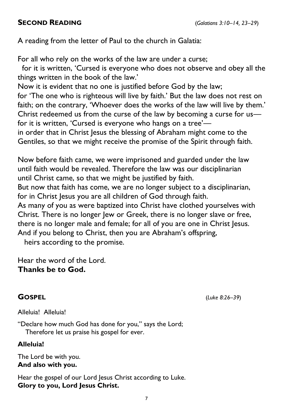## **SECOND READING** (*Galatians 3:10–14, 23–29*)

A reading from the letter of Paul to the church in Galatia:

For all who rely on the works of the law are under a curse;

 for it is written, 'Cursed is everyone who does not observe and obey all the things written in the book of the law.'

Now it is evident that no one is justified before God by the law; for 'The one who is righteous will live by faith.' But the law does not rest on faith; on the contrary, 'Whoever does the works of the law will live by them.' Christ redeemed us from the curse of the law by becoming a curse for us for it is written, 'Cursed is everyone who hangs on a tree' in order that in Christ Jesus the blessing of Abraham might come to the

Gentiles, so that we might receive the promise of the Spirit through faith.

Now before faith came, we were imprisoned and guarded under the law until faith would be revealed. Therefore the law was our disciplinarian until Christ came, so that we might be justified by faith.

But now that faith has come, we are no longer subject to a disciplinarian, for in Christ Jesus you are all children of God through faith.

As many of you as were baptized into Christ have clothed yourselves with Christ. There is no longer Jew or Greek, there is no longer slave or free, there is no longer male and female; for all of you are one in Christ Jesus. And if you belong to Christ, then you are Abraham's offspring,

heirs according to the promise.

Hear the word of the Lord. **Thanks be to God.** 

**GOSPEL** (*Luke 8:26–39*)

Alleluia! Alleluia!

"Declare how much God has done for you," says the Lord; Therefore let us praise his gospel for ever.

## **Alleluia!**

The Lord be with you. **And also with you.** 

Hear the gospel of our Lord Jesus Christ according to Luke. **Glory to you, Lord Jesus Christ.**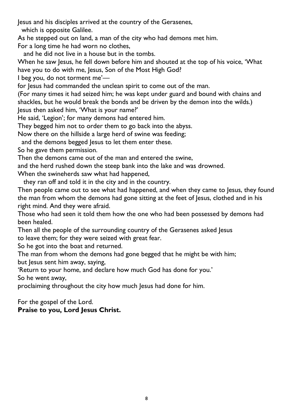Jesus and his disciples arrived at the country of the Gerasenes,

which is opposite Galilee.

As he stepped out on land, a man of the city who had demons met him.

For a long time he had worn no clothes,

and he did not live in a house but in the tombs.

When he saw Jesus, he fell down before him and shouted at the top of his voice, 'What have you to do with me, Jesus, Son of the Most High God?

I beg you, do not torment me'—

for Jesus had commanded the unclean spirit to come out of the man.

(For many times it had seized him; he was kept under guard and bound with chains and shackles, but he would break the bonds and be driven by the demon into the wilds.) Jesus then asked him, 'What is your name?'

He said, 'Legion'; for many demons had entered him.

They begged him not to order them to go back into the abyss.

Now there on the hillside a large herd of swine was feeding;

and the demons begged Jesus to let them enter these.

So he gave them permission.

Then the demons came out of the man and entered the swine,

and the herd rushed down the steep bank into the lake and was drowned.

When the swineherds saw what had happened,

they ran off and told it in the city and in the country.

Then people came out to see what had happened, and when they came to Jesus, they found the man from whom the demons had gone sitting at the feet of Jesus, clothed and in his right mind. And they were afraid.

Those who had seen it told them how the one who had been possessed by demons had been healed.

Then all the people of the surrounding country of the Gerasenes asked Jesus to leave them; for they were seized with great fear.

So he got into the boat and returned.

The man from whom the demons had gone begged that he might be with him; but Jesus sent him away, saying,

'Return to your home, and declare how much God has done for you.' So he went away,

proclaiming throughout the city how much Jesus had done for him.

For the gospel of the Lord.

### **Praise to you, Lord Jesus Christ.**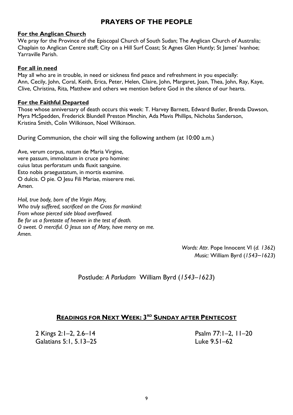### **PRAYERS OF THE PEOPLE**

#### **For the Anglican Church**

We pray for the Province of the Episcopal Church of South Sudan; The Anglican Church of Australia; Chaplain to Anglican Centre staff; City on a Hill Surf Coast; St Agnes Glen Huntly; St James' Ivanhoe; Yarraville Parish.

#### **For all in need**

May all who are in trouble, in need or sickness find peace and refreshment in you especially: Ann, Cecily, John, Coral, Keith, Erica, Peter, Helen, Claire, John, Margaret, Joan, Thea, John, Ray, Kaye, Clive, Christina, Rita, Matthew and others we mention before God in the silence of our hearts.

#### **For the Faithful Departed**

Those whose anniversary of death occurs this week: T. Harvey Barnett, Edward Butler, Brenda Dawson, Myra McSpedden, Frederick Blundell Preston Minchin, Ada Mavis Phillips, Nicholas Sanderson, Kristina Smith, Colin Wilkinson, Noel Wilkinson.

During Communion, the choir will sing the following anthem (at 10:00 a.m.)

Ave, verum corpus, natum de Maria Virgine, vere passum, immolatum in cruce pro homine: cuius latus perforatum unda fluxit sanguine. Esto nobis praegustatum, in mortis examine. O dulcis. O pie. O Jesu Fili Mariae, miserere mei. Amen.

*Hail, true body, born of the Virgin Mary, Who truly suffered, sacrificed on the Cross for mankind: From whose pierced side blood overflowed. Be for us a foretaste of heaven in the test of death. O sweet. O merciful. O Jesus son of Mary, have mercy on me. Amen.* 

> *Words: Attr.* Pope Innocent VI (*d. 1362*) *Music:* William Byrd (*1543–1623*)

Postlude: *A Parludam* William Byrd (*1543–1623*)

## **READINGS FOR NEXT WEEK: 3 RD SUNDAY AFTER PENTECOST**

2 Kings 2:1*–*2, 2.6*–*14 Psalm 77:1*–*2, 11*–*20 Galatians 5:1, 5.13*–*25 Luke 9.51*–*62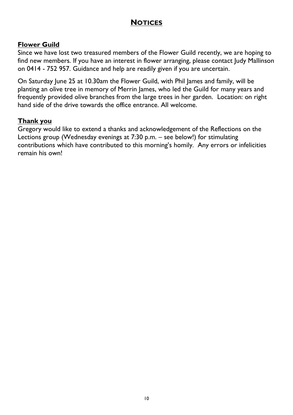## **NOTICES**

## **Flower Guild**

Since we have lost two treasured members of the Flower Guild recently, we are hoping to find new members. If you have an interest in flower arranging, please contact Judy Mallinson on 0414 - 752 957. Guidance and help are readily given if you are uncertain.

On Saturday June 25 at 10.30am the Flower Guild, with Phil James and family, will be planting an olive tree in memory of Merrin James, who led the Guild for many years and frequently provided olive branches from the large trees in her garden. Location: on right hand side of the drive towards the office entrance. All welcome.

#### **Thank you**

Gregory would like to extend a thanks and acknowledgement of the Reflections on the Lections group (Wednesday evenings at 7:30 p.m. – see below!) for stimulating contributions which have contributed to this morning's homily. Any errors or infelicities remain his own!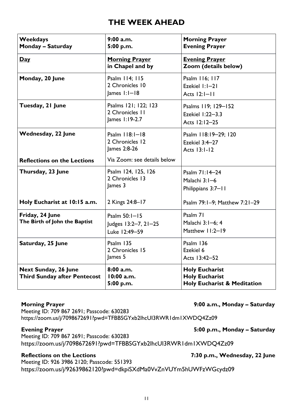## **THE WEEK AHEAD**

| <b>Weekdays</b><br><b>Monday - Saturday</b>                        | $9:00$ a.m.<br>5:00 p.m.                                   | <b>Morning Prayer</b><br><b>Evening Prayer</b>                                           |
|--------------------------------------------------------------------|------------------------------------------------------------|------------------------------------------------------------------------------------------|
| Day                                                                | <b>Morning Prayer</b><br>in Chapel and by                  | <b>Evening Prayer</b><br>Zoom (details below)                                            |
| Monday, 20 June                                                    | Psalm 114; 115<br>2 Chronicles 10<br>$lames$ $1:1-18$      | Psalm 116; 117<br>Ezekiel I:I-21<br>Acts 12:1-11                                         |
| Tuesday, 21 June                                                   | Psalms 121; 122; 123<br>2 Chronicles II<br>James 1:19-2.7  | Psalms 119; 129-152<br>Ezekiel 1:22-3.3<br>Acts 12:12-25                                 |
| <b>Wednesday, 22 June</b>                                          | Psalm $118:1-18$<br>2 Chronicles 12<br>James 2:8-26        | Psalm 118:19-29; 120<br>Ezekiel $3:4-27$<br>Acts 13:1-12                                 |
| <b>Reflections on the Lections</b>                                 | Via Zoom: see details below                                |                                                                                          |
| Thursday, 23 June                                                  | Psalm 124, 125, 126<br>2 Chronicles 13<br>James 3          | Psalm 71:14-24<br>Malachi 3:1-6<br>Philippians 3:7-11                                    |
| Holy Eucharist at 10:15 a.m.                                       | 2 Kings 24:8-17                                            | Psalm 79:1-9; Matthew 7:21-29                                                            |
| Friday, 24 June<br>The Birth of John the Baptist                   | Psalm $50:1 - 15$<br>Judges 13:2-7, 21-25<br>Luke 12:49-59 | Psalm 71<br>Malachi 3:1-6; 4<br>Matthew 11:2-19                                          |
| Saturday, 25 June                                                  | Psalm 135<br>2 Chronicles 15<br>James 5                    | Psalm 136<br>Ezekiel 6<br>Acts 13:42-52                                                  |
| <b>Next Sunday, 26 June</b><br><b>Third Sunday after Pentecost</b> | 8:00a.m.<br>10:00 a.m.<br>5:00 p.m.                        | <b>Holy Eucharist</b><br><b>Holy Eucharist</b><br><b>Holy Eucharist &amp; Meditation</b> |

**Morning Prayer 19:00 a.m., Monday - Saturday 19:00 a.m., Monday - Saturday 19:00 a.m., Monday - Saturday 19:00 a.m.** 

Meeting ID: 709 867 2691; Passcode: 630283 https://zoom.us/j/7098672691?pwd=TFBBSGYxb2lhcUI3RWR1dm1XWDQ4Zz09

#### Evening Prayer **Figure 2.1 and 2.5 and 3.5 and 5:00 p.m., Monday - Saturday <b>Figure 2.5**

Meeting ID: 709 867 2691; Passcode: 630283 <https://zoom.us/j/7098672691?pwd=TFBBSGYxb2lhcUI3RWR1dm1XWDQ4Zz09>

#### **Reflections on the Lections 7:30 p.m., Wednesday, 22 June**

Meeting ID: 926 3986 2120; Passcode: 551393 <https://zoom.us/j/92639862120?pwd=dkpiSXdMa0VvZnVUYm5hUWFzWGcydz09>

#### 11